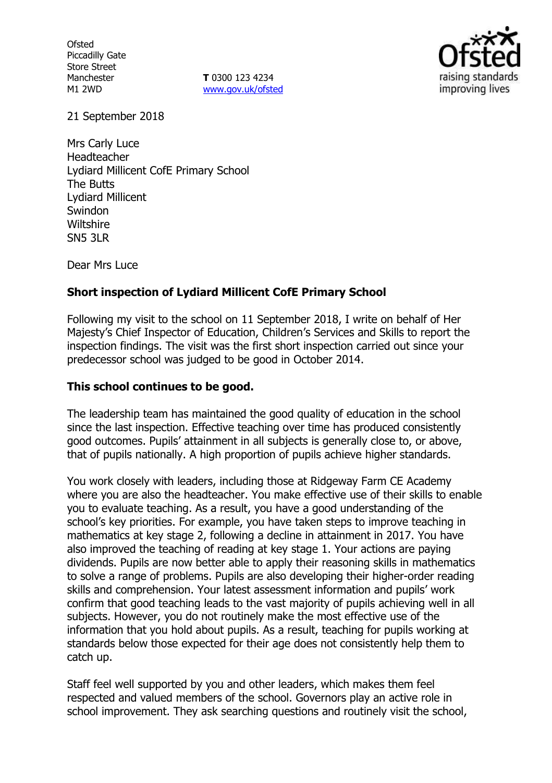**Ofsted** Piccadilly Gate Store Street Manchester M1 2WD

**T** 0300 123 4234 [www.gov.uk/ofsted](http://www.gov.uk/ofsted)



21 September 2018

Mrs Carly Luce Headteacher Lydiard Millicent CofE Primary School The Butts Lydiard Millicent **Swindon Wiltshire** SN5 3LR

Dear Mrs Luce

## **Short inspection of Lydiard Millicent CofE Primary School**

Following my visit to the school on 11 September 2018, I write on behalf of Her Majesty's Chief Inspector of Education, Children's Services and Skills to report the inspection findings. The visit was the first short inspection carried out since your predecessor school was judged to be good in October 2014.

### **This school continues to be good.**

The leadership team has maintained the good quality of education in the school since the last inspection. Effective teaching over time has produced consistently good outcomes. Pupils' attainment in all subjects is generally close to, or above, that of pupils nationally. A high proportion of pupils achieve higher standards.

You work closely with leaders, including those at Ridgeway Farm CE Academy where you are also the headteacher. You make effective use of their skills to enable you to evaluate teaching. As a result, you have a good understanding of the school's key priorities. For example, you have taken steps to improve teaching in mathematics at key stage 2, following a decline in attainment in 2017. You have also improved the teaching of reading at key stage 1. Your actions are paying dividends. Pupils are now better able to apply their reasoning skills in mathematics to solve a range of problems. Pupils are also developing their higher-order reading skills and comprehension. Your latest assessment information and pupils' work confirm that good teaching leads to the vast majority of pupils achieving well in all subjects. However, you do not routinely make the most effective use of the information that you hold about pupils. As a result, teaching for pupils working at standards below those expected for their age does not consistently help them to catch up.

Staff feel well supported by you and other leaders, which makes them feel respected and valued members of the school. Governors play an active role in school improvement. They ask searching questions and routinely visit the school,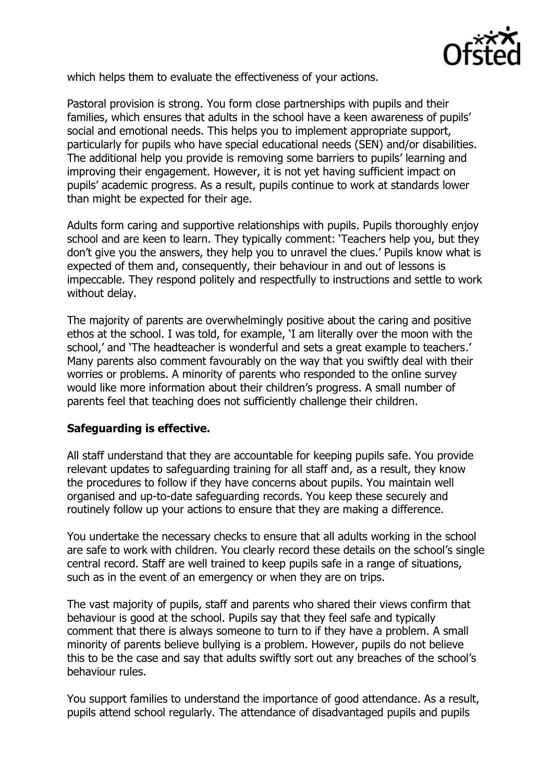

which helps them to evaluate the effectiveness of your actions.

Pastoral provision is strong. You form close partnerships with pupils and their families, which ensures that adults in the school have a keen awareness of pupils' social and emotional needs. This helps you to implement appropriate support, particularly for pupils who have special educational needs (SEN) and/or disabilities. The additional help you provide is removing some barriers to pupils' learning and improving their engagement. However, it is not yet having sufficient impact on pupils' academic progress. As a result, pupils continue to work at standards lower than might be expected for their age.

Adults form caring and supportive relationships with pupils. Pupils thoroughly enjoy school and are keen to learn. They typically comment: 'Teachers help you, but they don't give you the answers, they help you to unravel the clues.' Pupils know what is expected of them and, consequently, their behaviour in and out of lessons is impeccable. They respond politely and respectfully to instructions and settle to work without delay.

The majority of parents are overwhelmingly positive about the caring and positive ethos at the school. I was told, for example, 'I am literally over the moon with the school,' and 'The headteacher is wonderful and sets a great example to teachers.' Many parents also comment favourably on the way that you swiftly deal with their worries or problems. A minority of parents who responded to the online survey would like more information about their children's progress. A small number of parents feel that teaching does not sufficiently challenge their children.

## **Safeguarding is effective.**

All staff understand that they are accountable for keeping pupils safe. You provide relevant updates to safeguarding training for all staff and, as a result, they know the procedures to follow if they have concerns about pupils. You maintain well organised and up-to-date safeguarding records. You keep these securely and routinely follow up your actions to ensure that they are making a difference.

You undertake the necessary checks to ensure that all adults working in the school are safe to work with children. You clearly record these details on the school's single central record. Staff are well trained to keep pupils safe in a range of situations, such as in the event of an emergency or when they are on trips.

The vast majority of pupils, staff and parents who shared their views confirm that behaviour is good at the school. Pupils say that they feel safe and typically comment that there is always someone to turn to if they have a problem. A small minority of parents believe bullying is a problem. However, pupils do not believe this to be the case and say that adults swiftly sort out any breaches of the school's behaviour rules.

You support families to understand the importance of good attendance. As a result, pupils attend school regularly. The attendance of disadvantaged pupils and pupils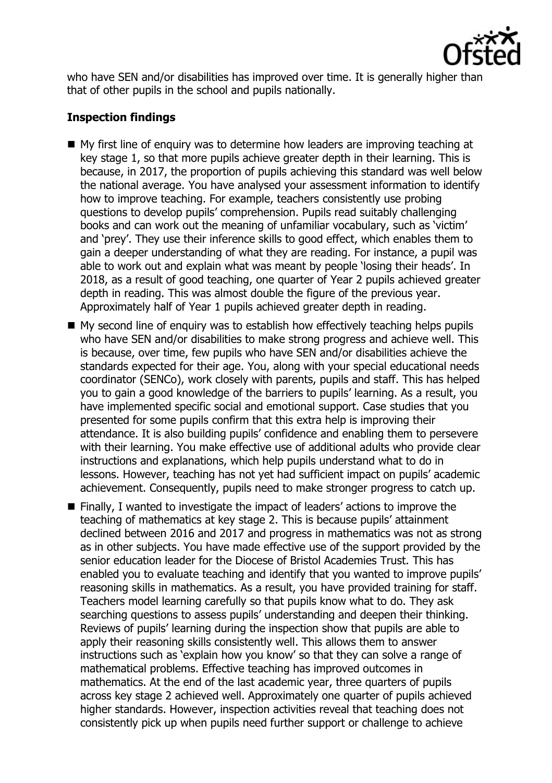

who have SEN and/or disabilities has improved over time. It is generally higher than that of other pupils in the school and pupils nationally.

# **Inspection findings**

- My first line of enquiry was to determine how leaders are improving teaching at key stage 1, so that more pupils achieve greater depth in their learning. This is because, in 2017, the proportion of pupils achieving this standard was well below the national average. You have analysed your assessment information to identify how to improve teaching. For example, teachers consistently use probing questions to develop pupils' comprehension. Pupils read suitably challenging books and can work out the meaning of unfamiliar vocabulary, such as 'victim' and 'prey'. They use their inference skills to good effect, which enables them to gain a deeper understanding of what they are reading. For instance, a pupil was able to work out and explain what was meant by people 'losing their heads'. In 2018, as a result of good teaching, one quarter of Year 2 pupils achieved greater depth in reading. This was almost double the figure of the previous year. Approximately half of Year 1 pupils achieved greater depth in reading.
- $\blacksquare$  My second line of enquiry was to establish how effectively teaching helps pupils who have SEN and/or disabilities to make strong progress and achieve well. This is because, over time, few pupils who have SEN and/or disabilities achieve the standards expected for their age. You, along with your special educational needs coordinator (SENCo), work closely with parents, pupils and staff. This has helped you to gain a good knowledge of the barriers to pupils' learning. As a result, you have implemented specific social and emotional support. Case studies that you presented for some pupils confirm that this extra help is improving their attendance. It is also building pupils' confidence and enabling them to persevere with their learning. You make effective use of additional adults who provide clear instructions and explanations, which help pupils understand what to do in lessons. However, teaching has not yet had sufficient impact on pupils' academic achievement. Consequently, pupils need to make stronger progress to catch up.
- Finally, I wanted to investigate the impact of leaders' actions to improve the teaching of mathematics at key stage 2. This is because pupils' attainment declined between 2016 and 2017 and progress in mathematics was not as strong as in other subjects. You have made effective use of the support provided by the senior education leader for the Diocese of Bristol Academies Trust. This has enabled you to evaluate teaching and identify that you wanted to improve pupils' reasoning skills in mathematics. As a result, you have provided training for staff. Teachers model learning carefully so that pupils know what to do. They ask searching questions to assess pupils' understanding and deepen their thinking. Reviews of pupils' learning during the inspection show that pupils are able to apply their reasoning skills consistently well. This allows them to answer instructions such as 'explain how you know' so that they can solve a range of mathematical problems. Effective teaching has improved outcomes in mathematics. At the end of the last academic year, three quarters of pupils across key stage 2 achieved well. Approximately one quarter of pupils achieved higher standards. However, inspection activities reveal that teaching does not consistently pick up when pupils need further support or challenge to achieve